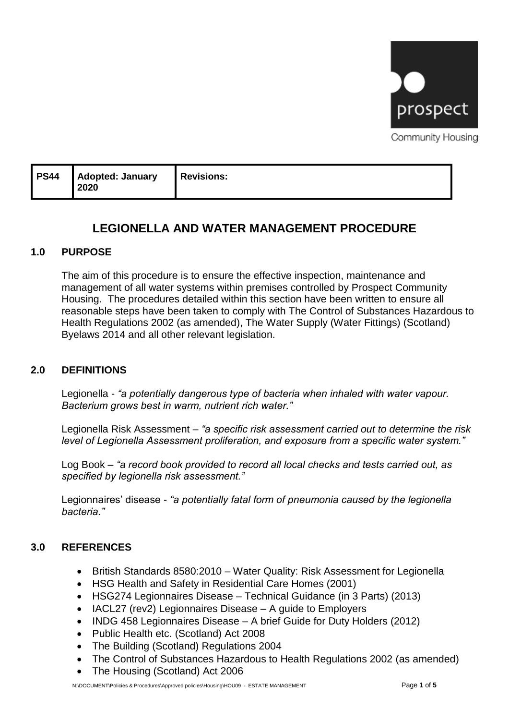

Community Housing

| <b>PS44</b><br><b>Adopted: January</b><br><b>Revisions:</b><br>2020 |  |
|---------------------------------------------------------------------|--|
|---------------------------------------------------------------------|--|

# **LEGIONELLA AND WATER MANAGEMENT PROCEDURE**

### **1.0 PURPOSE**

The aim of this procedure is to ensure the effective inspection, maintenance and management of all water systems within premises controlled by Prospect Community Housing. The procedures detailed within this section have been written to ensure all reasonable steps have been taken to comply with The Control of Substances Hazardous to Health Regulations 2002 (as amended), The Water Supply (Water Fittings) (Scotland) Byelaws 2014 and all other relevant legislation.

### **2.0 DEFINITIONS**

Legionella - *"a potentially dangerous type of bacteria when inhaled with water vapour. Bacterium grows best in warm, nutrient rich water."*

Legionella Risk Assessment – *"a specific risk assessment carried out to determine the risk level of Legionella Assessment proliferation, and exposure from a specific water system."*

Log Book – *"a record book provided to record all local checks and tests carried out, as specified by legionella risk assessment."*

Legionnaires' disease - *"a potentially fatal form of pneumonia caused by the legionella bacteria."*

### **3.0 REFERENCES**

- British Standards 8580:2010 Water Quality: Risk Assessment for Legionella
- HSG Health and Safety in Residential Care Homes (2001)
- HSG274 Legionnaires Disease Technical Guidance (in 3 Parts) (2013)
- IACL27 (rev2) Legionnaires Disease A guide to Employers
- INDG 458 Legionnaires Disease A brief Guide for Duty Holders (2012)
- Public Health etc. (Scotland) Act 2008
- The Building (Scotland) Regulations 2004
- The Control of Substances Hazardous to Health Regulations 2002 (as amended)
- The Housing (Scotland) Act 2006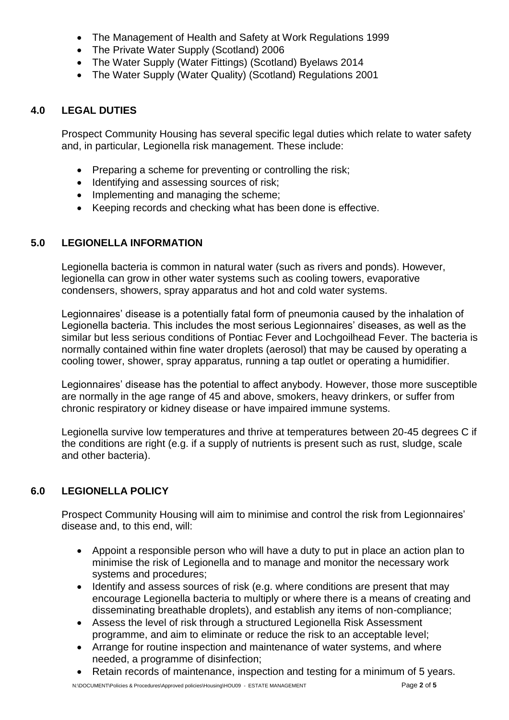- The Management of Health and Safety at Work Regulations 1999
- The Private Water Supply (Scotland) 2006
- The Water Supply (Water Fittings) (Scotland) Byelaws 2014
- The Water Supply (Water Quality) (Scotland) Regulations 2001

### **4.0 LEGAL DUTIES**

Prospect Community Housing has several specific legal duties which relate to water safety and, in particular, Legionella risk management. These include:

- Preparing a scheme for preventing or controlling the risk;
- Identifying and assessing sources of risk;
- Implementing and managing the scheme;
- Keeping records and checking what has been done is effective.

### **5.0 LEGIONELLA INFORMATION**

Legionella bacteria is common in natural water (such as rivers and ponds). However, legionella can grow in other water systems such as cooling towers, evaporative condensers, showers, spray apparatus and hot and cold water systems.

Legionnaires' disease is a potentially fatal form of pneumonia caused by the inhalation of Legionella bacteria. This includes the most serious Legionnaires' diseases, as well as the similar but less serious conditions of Pontiac Fever and Lochgoilhead Fever. The bacteria is normally contained within fine water droplets (aerosol) that may be caused by operating a cooling tower, shower, spray apparatus, running a tap outlet or operating a humidifier.

Legionnaires' disease has the potential to affect anybody. However, those more susceptible are normally in the age range of 45 and above, smokers, heavy drinkers, or suffer from chronic respiratory or kidney disease or have impaired immune systems.

Legionella survive low temperatures and thrive at temperatures between 20-45 degrees C if the conditions are right (e.g. if a supply of nutrients is present such as rust, sludge, scale and other bacteria).

## **6.0 LEGIONELLA POLICY**

Prospect Community Housing will aim to minimise and control the risk from Legionnaires' disease and, to this end, will:

- Appoint a responsible person who will have a duty to put in place an action plan to minimise the risk of Legionella and to manage and monitor the necessary work systems and procedures;
- Identify and assess sources of risk (e.g. where conditions are present that may encourage Legionella bacteria to multiply or where there is a means of creating and disseminating breathable droplets), and establish any items of non-compliance;
- Assess the level of risk through a structured Legionella Risk Assessment programme, and aim to eliminate or reduce the risk to an acceptable level;
- Arrange for routine inspection and maintenance of water systems, and where needed, a programme of disinfection;
- Retain records of maintenance, inspection and testing for a minimum of 5 years.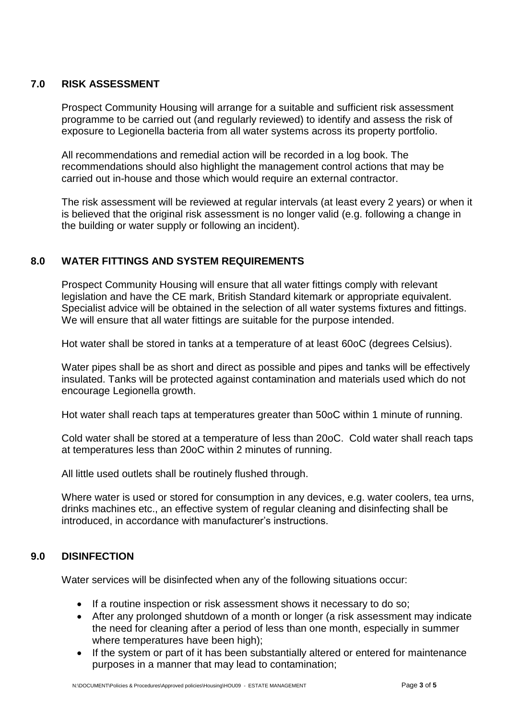### **7.0 RISK ASSESSMENT**

Prospect Community Housing will arrange for a suitable and sufficient risk assessment programme to be carried out (and regularly reviewed) to identify and assess the risk of exposure to Legionella bacteria from all water systems across its property portfolio.

All recommendations and remedial action will be recorded in a log book. The recommendations should also highlight the management control actions that may be carried out in-house and those which would require an external contractor.

The risk assessment will be reviewed at regular intervals (at least every 2 years) or when it is believed that the original risk assessment is no longer valid (e.g. following a change in the building or water supply or following an incident).

### **8.0 WATER FITTINGS AND SYSTEM REQUIREMENTS**

Prospect Community Housing will ensure that all water fittings comply with relevant legislation and have the CE mark, British Standard kitemark or appropriate equivalent. Specialist advice will be obtained in the selection of all water systems fixtures and fittings. We will ensure that all water fittings are suitable for the purpose intended.

Hot water shall be stored in tanks at a temperature of at least 60oC (degrees Celsius).

Water pipes shall be as short and direct as possible and pipes and tanks will be effectively insulated. Tanks will be protected against contamination and materials used which do not encourage Legionella growth.

Hot water shall reach taps at temperatures greater than 50oC within 1 minute of running.

Cold water shall be stored at a temperature of less than 20oC. Cold water shall reach taps at temperatures less than 20oC within 2 minutes of running.

All little used outlets shall be routinely flushed through.

Where water is used or stored for consumption in any devices, e.g. water coolers, tea urns, drinks machines etc., an effective system of regular cleaning and disinfecting shall be introduced, in accordance with manufacturer's instructions.

### **9.0 DISINFECTION**

Water services will be disinfected when any of the following situations occur:

- If a routine inspection or risk assessment shows it necessary to do so;
- After any prolonged shutdown of a month or longer (a risk assessment may indicate the need for cleaning after a period of less than one month, especially in summer where temperatures have been high);
- If the system or part of it has been substantially altered or entered for maintenance purposes in a manner that may lead to contamination;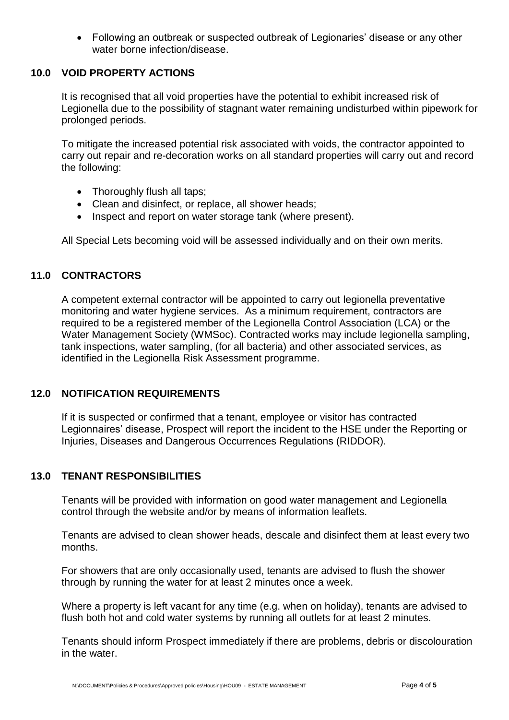• Following an outbreak or suspected outbreak of Legionaries' disease or any other water borne infection/disease.

### **10.0 VOID PROPERTY ACTIONS**

It is recognised that all void properties have the potential to exhibit increased risk of Legionella due to the possibility of stagnant water remaining undisturbed within pipework for prolonged periods.

To mitigate the increased potential risk associated with voids, the contractor appointed to carry out repair and re-decoration works on all standard properties will carry out and record the following:

- Thoroughly flush all taps;
- Clean and disinfect, or replace, all shower heads;
- Inspect and report on water storage tank (where present).

All Special Lets becoming void will be assessed individually and on their own merits.

#### **11.0 CONTRACTORS**

A competent external contractor will be appointed to carry out legionella preventative monitoring and water hygiene services. As a minimum requirement, contractors are required to be a registered member of the Legionella Control Association (LCA) or the Water Management Society (WMSoc). Contracted works may include legionella sampling, tank inspections, water sampling, (for all bacteria) and other associated services, as identified in the Legionella Risk Assessment programme.

#### **12.0 NOTIFICATION REQUIREMENTS**

If it is suspected or confirmed that a tenant, employee or visitor has contracted Legionnaires' disease, Prospect will report the incident to the HSE under the Reporting or Injuries, Diseases and Dangerous Occurrences Regulations (RIDDOR).

#### **13.0 TENANT RESPONSIBILITIES**

Tenants will be provided with information on good water management and Legionella control through the website and/or by means of information leaflets.

Tenants are advised to clean shower heads, descale and disinfect them at least every two months.

For showers that are only occasionally used, tenants are advised to flush the shower through by running the water for at least 2 minutes once a week.

Where a property is left vacant for any time (e.g. when on holiday), tenants are advised to flush both hot and cold water systems by running all outlets for at least 2 minutes.

Tenants should inform Prospect immediately if there are problems, debris or discolouration in the water.